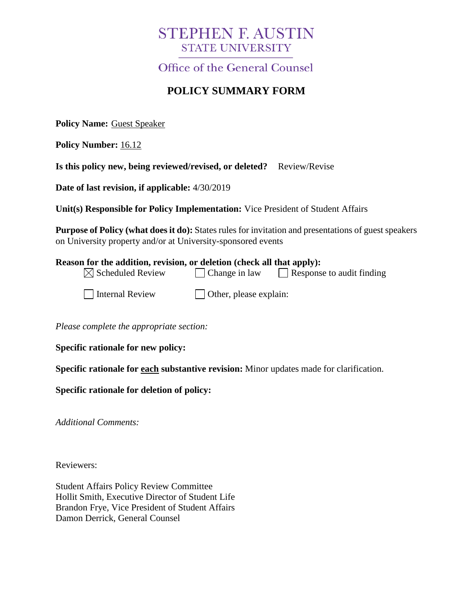# **STEPHEN F. AUSTIN STATE UNIVERSITY**

Office of the General Counsel

# **POLICY SUMMARY FORM**

**Policy Name:** Guest Speaker

**Policy Number:** 16.12

**Is this policy new, being reviewed/revised, or deleted?** Review/Revise

**Date of last revision, if applicable:** 4/30/2019

**Unit(s) Responsible for Policy Implementation:** Vice President of Student Affairs

**Purpose of Policy (what does it do):** States rules for invitation and presentations of guest speakers on University property and/or at University-sponsored events

| Reason for the addition, revision, or deletion (check all that apply): |                                |                                  |
|------------------------------------------------------------------------|--------------------------------|----------------------------------|
| $\boxtimes$ Scheduled Review                                           | $\Box$ Change in law           | $\Box$ Response to audit finding |
| Internal Review                                                        | $\vert$ Other, please explain: |                                  |

*Please complete the appropriate section:*

**Specific rationale for new policy:**

**Specific rationale for each substantive revision:** Minor updates made for clarification.

**Specific rationale for deletion of policy:**

*Additional Comments:*

Reviewers:

Student Affairs Policy Review Committee Hollit Smith, Executive Director of Student Life Brandon Frye, Vice President of Student Affairs Damon Derrick, General Counsel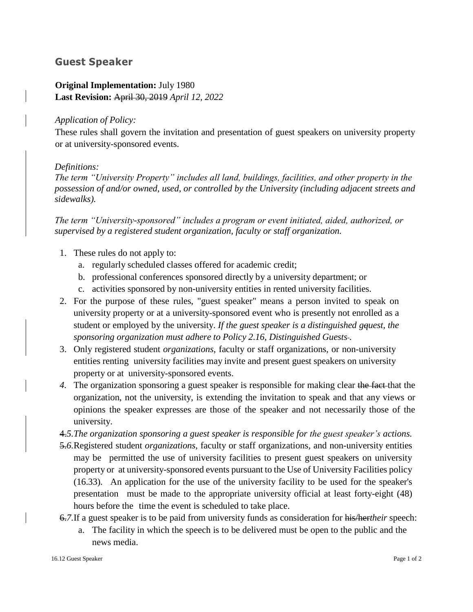## **Guest Speaker**

### **Original Implementation:** July 1980 **Last Revision:** April 30, 2019 *April 12, 2022*

#### *Application of Policy:*

These rules shall govern the invitation and presentation of guest speakers on university property or at university-sponsored events.

#### *Definitions:*

*The term "University Property" includes all land, buildings, facilities, and other property in the possession of and/or owned, used, or controlled by the University (including adjacent streets and sidewalks).* 

*The term "University-sponsored" includes a program or event initiated, aided, authorized, or supervised by a registered student organization, faculty or staff organization.*

- 1. These rules do not apply to:
	- a. regularly scheduled classes offered for academic credit;
	- b. professional conferences sponsored directly by a university department; or
	- c. activities sponsored by non-university entities in rented university facilities.
- 2. For the purpose of these rules, "guest speaker" means a person invited to speak on university property or at a university-sponsored event who is presently not enrolled as a student or employed by the university. *If the guest speaker is a distinguished gquest, the sponsoring organization must adhere to Policy 2.16, Distinguished Guests .*
- 3. Only registered student *organizations*, faculty or staff organizations*,* or non-university entities renting university facilities may invite and present guest speakers on university property or at university-sponsored events.
- *4.* The organization sponsoring a guest speaker is responsible for making clear the fact that the organization, not the university, is extending the invitation to speak and that any views or opinions the speaker expresses are those of the speaker and not necessarily those of the university.
- 4.*5.The organization sponsoring a guest speaker is responsible for the guest speaker's actions.*
- 5.*6.*Registered student *organizations*, faculty or staff organizations*,* and non-university entities may be permitted the use of university facilities to present guest speakers on university property or at university-sponsored events pursuant to the Use of University Facilities policy (16.33). An application for the use of the university facility to be used for the speaker's presentation must be made to the appropriate university official at least forty-eight (48) hours before the time the event is scheduled to take place.
- 6.*7.*If a guest speaker is to be paid from university funds as consideration for his/her*their* speech:
	- a. The facility in which the speech is to be delivered must be open to the public and the news media.